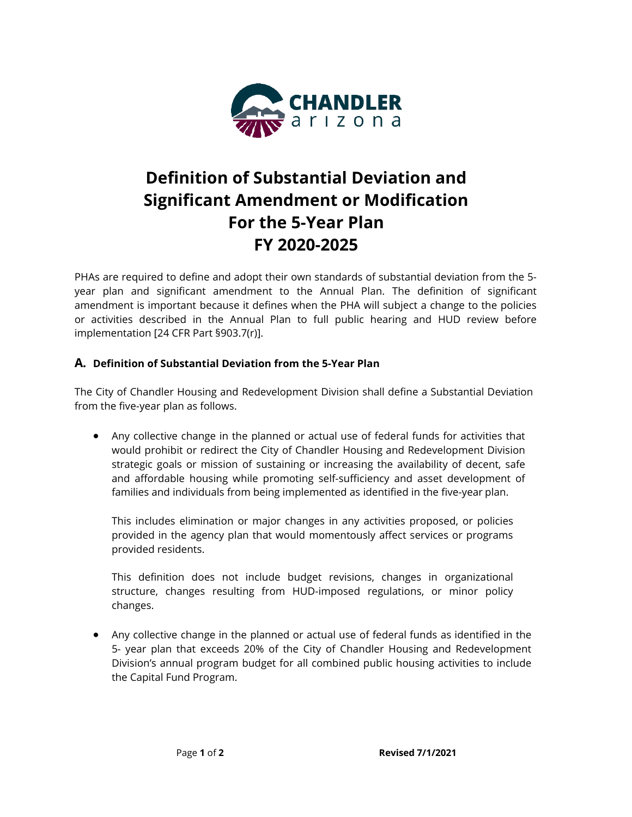

## **Definition of Substantial Deviation and Significant Amendment or Modification For the 5-Year Plan FY 2020-2025**

PHAs are required to define and adopt their own standards of substantial deviation from the 5 year plan and significant amendment to the Annual Plan. The definition of significant amendment is important because it defines when the PHA will subject a change to the policies or activities described in the Annual Plan to full public hearing and HUD review before implementation [24 CFR Part §903.7(r)].

## **A. Definition of Substantial Deviation from the 5-Year Plan**

The City of Chandler Housing and Redevelopment Division shall define a Substantial Deviation from the five-year plan as follows.

• Any collective change in the planned or actual use of federal funds for activities that would prohibit or redirect the City of Chandler Housing and Redevelopment Division strategic goals or mission of sustaining or increasing the availability of decent, safe and affordable housing while promoting self-sufficiency and asset development of families and individuals from being implemented as identified in the five-year plan.

This includes elimination or major changes in any activities proposed, or policies provided in the agency plan that would momentously affect services or programs provided residents.

This definition does not include budget revisions, changes in organizational structure, changes resulting from HUD-imposed regulations, or minor policy changes.

• Any collective change in the planned or actual use of federal funds as identified in the 5- year plan that exceeds 20% of the City of Chandler Housing and Redevelopment Division's annual program budget for all combined public housing activities to include the Capital Fund Program.